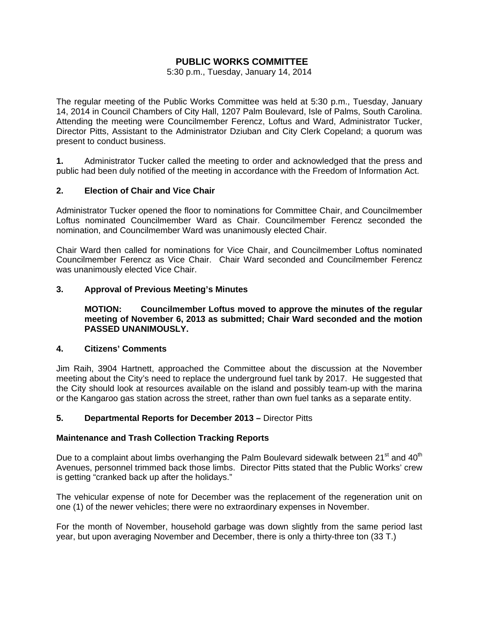# **PUBLIC WORKS COMMITTEE**

5:30 p.m., Tuesday, January 14, 2014

The regular meeting of the Public Works Committee was held at 5:30 p.m., Tuesday, January 14, 2014 in Council Chambers of City Hall, 1207 Palm Boulevard, Isle of Palms, South Carolina. Attending the meeting were Councilmember Ferencz, Loftus and Ward, Administrator Tucker, Director Pitts, Assistant to the Administrator Dziuban and City Clerk Copeland; a quorum was present to conduct business.

**1.** Administrator Tucker called the meeting to order and acknowledged that the press and public had been duly notified of the meeting in accordance with the Freedom of Information Act.

# **2. Election of Chair and Vice Chair**

Administrator Tucker opened the floor to nominations for Committee Chair, and Councilmember Loftus nominated Councilmember Ward as Chair. Councilmember Ferencz seconded the nomination, and Councilmember Ward was unanimously elected Chair.

Chair Ward then called for nominations for Vice Chair, and Councilmember Loftus nominated Councilmember Ferencz as Vice Chair. Chair Ward seconded and Councilmember Ferencz was unanimously elected Vice Chair.

#### **3. Approval of Previous Meeting's Minutes**

 **MOTION: Councilmember Loftus moved to approve the minutes of the regular meeting of November 6, 2013 as submitted; Chair Ward seconded and the motion PASSED UNANIMOUSLY.** 

#### **4. Citizens' Comments**

Jim Raih, 3904 Hartnett, approached the Committee about the discussion at the November meeting about the City's need to replace the underground fuel tank by 2017. He suggested that the City should look at resources available on the island and possibly team-up with the marina or the Kangaroo gas station across the street, rather than own fuel tanks as a separate entity.

#### **5. Departmental Reports for December 2013 –** Director Pitts

#### **Maintenance and Trash Collection Tracking Reports**

Due to a complaint about limbs overhanging the Palm Boulevard sidewalk between  $21^{st}$  and  $40^{th}$ Avenues, personnel trimmed back those limbs. Director Pitts stated that the Public Works' crew is getting "cranked back up after the holidays."

The vehicular expense of note for December was the replacement of the regeneration unit on one (1) of the newer vehicles; there were no extraordinary expenses in November.

For the month of November, household garbage was down slightly from the same period last year, but upon averaging November and December, there is only a thirty-three ton (33 T.)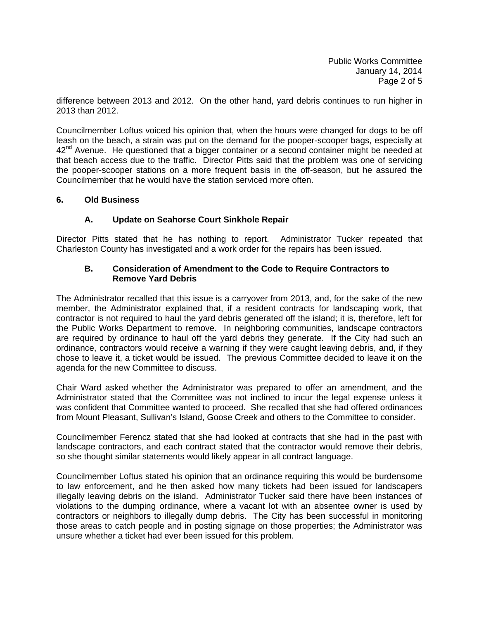difference between 2013 and 2012. On the other hand, yard debris continues to run higher in 2013 than 2012.

Councilmember Loftus voiced his opinion that, when the hours were changed for dogs to be off leash on the beach, a strain was put on the demand for the pooper-scooper bags, especially at  $42<sup>nd</sup>$  Avenue. He questioned that a bigger container or a second container might be needed at that beach access due to the traffic. Director Pitts said that the problem was one of servicing the pooper-scooper stations on a more frequent basis in the off-season, but he assured the Councilmember that he would have the station serviced more often.

#### **6. Old Business**

# **A. Update on Seahorse Court Sinkhole Repair**

Director Pitts stated that he has nothing to report. Administrator Tucker repeated that Charleston County has investigated and a work order for the repairs has been issued.

# **B. Consideration of Amendment to the Code to Require Contractors to Remove Yard Debris**

The Administrator recalled that this issue is a carryover from 2013, and, for the sake of the new member, the Administrator explained that, if a resident contracts for landscaping work, that contractor is not required to haul the yard debris generated off the island; it is, therefore, left for the Public Works Department to remove. In neighboring communities, landscape contractors are required by ordinance to haul off the yard debris they generate. If the City had such an ordinance, contractors would receive a warning if they were caught leaving debris, and, if they chose to leave it, a ticket would be issued. The previous Committee decided to leave it on the agenda for the new Committee to discuss.

Chair Ward asked whether the Administrator was prepared to offer an amendment, and the Administrator stated that the Committee was not inclined to incur the legal expense unless it was confident that Committee wanted to proceed. She recalled that she had offered ordinances from Mount Pleasant, Sullivan's Island, Goose Creek and others to the Committee to consider.

Councilmember Ferencz stated that she had looked at contracts that she had in the past with landscape contractors, and each contract stated that the contractor would remove their debris, so she thought similar statements would likely appear in all contract language.

Councilmember Loftus stated his opinion that an ordinance requiring this would be burdensome to law enforcement, and he then asked how many tickets had been issued for landscapers illegally leaving debris on the island. Administrator Tucker said there have been instances of violations to the dumping ordinance, where a vacant lot with an absentee owner is used by contractors or neighbors to illegally dump debris. The City has been successful in monitoring those areas to catch people and in posting signage on those properties; the Administrator was unsure whether a ticket had ever been issued for this problem.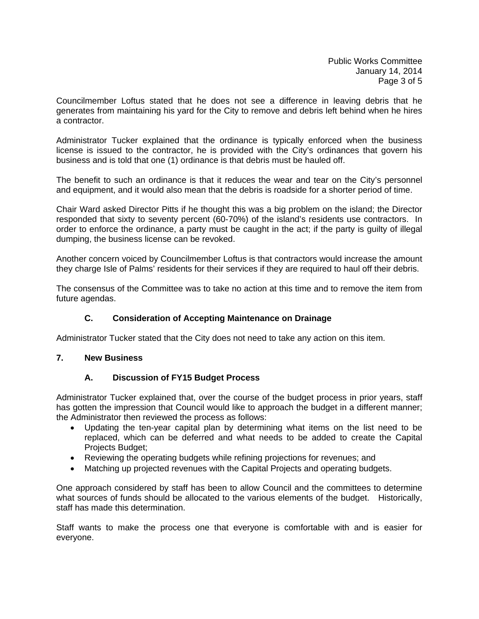Councilmember Loftus stated that he does not see a difference in leaving debris that he generates from maintaining his yard for the City to remove and debris left behind when he hires a contractor.

Administrator Tucker explained that the ordinance is typically enforced when the business license is issued to the contractor, he is provided with the City's ordinances that govern his business and is told that one (1) ordinance is that debris must be hauled off.

The benefit to such an ordinance is that it reduces the wear and tear on the City's personnel and equipment, and it would also mean that the debris is roadside for a shorter period of time.

Chair Ward asked Director Pitts if he thought this was a big problem on the island; the Director responded that sixty to seventy percent (60-70%) of the island's residents use contractors. In order to enforce the ordinance, a party must be caught in the act; if the party is guilty of illegal dumping, the business license can be revoked.

Another concern voiced by Councilmember Loftus is that contractors would increase the amount they charge Isle of Palms' residents for their services if they are required to haul off their debris.

The consensus of the Committee was to take no action at this time and to remove the item from future agendas.

# **C. Consideration of Accepting Maintenance on Drainage**

Administrator Tucker stated that the City does not need to take any action on this item.

#### **7. New Business**

# **A. Discussion of FY15 Budget Process**

Administrator Tucker explained that, over the course of the budget process in prior years, staff has gotten the impression that Council would like to approach the budget in a different manner; the Administrator then reviewed the process as follows:

- Updating the ten-year capital plan by determining what items on the list need to be replaced, which can be deferred and what needs to be added to create the Capital Projects Budget;
- Reviewing the operating budgets while refining projections for revenues; and
- Matching up projected revenues with the Capital Projects and operating budgets.

One approach considered by staff has been to allow Council and the committees to determine what sources of funds should be allocated to the various elements of the budget. Historically, staff has made this determination.

Staff wants to make the process one that everyone is comfortable with and is easier for everyone.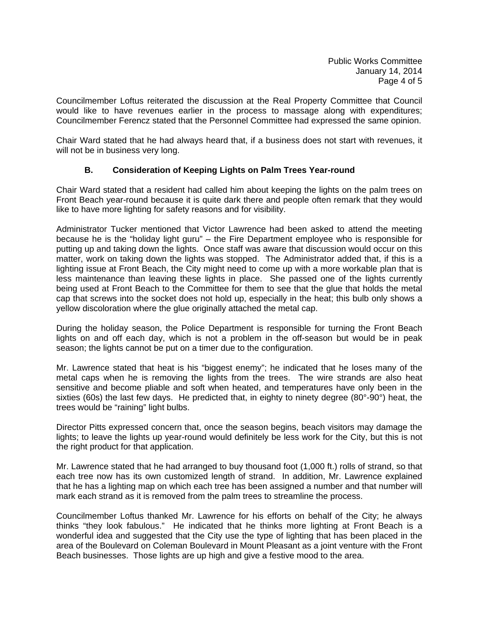Councilmember Loftus reiterated the discussion at the Real Property Committee that Council would like to have revenues earlier in the process to massage along with expenditures; Councilmember Ferencz stated that the Personnel Committee had expressed the same opinion.

Chair Ward stated that he had always heard that, if a business does not start with revenues, it will not be in business very long.

# **B. Consideration of Keeping Lights on Palm Trees Year-round**

Chair Ward stated that a resident had called him about keeping the lights on the palm trees on Front Beach year-round because it is quite dark there and people often remark that they would like to have more lighting for safety reasons and for visibility.

Administrator Tucker mentioned that Victor Lawrence had been asked to attend the meeting because he is the "holiday light guru" – the Fire Department employee who is responsible for putting up and taking down the lights. Once staff was aware that discussion would occur on this matter, work on taking down the lights was stopped. The Administrator added that, if this is a lighting issue at Front Beach, the City might need to come up with a more workable plan that is less maintenance than leaving these lights in place. She passed one of the lights currently being used at Front Beach to the Committee for them to see that the glue that holds the metal cap that screws into the socket does not hold up, especially in the heat; this bulb only shows a yellow discoloration where the glue originally attached the metal cap.

During the holiday season, the Police Department is responsible for turning the Front Beach lights on and off each day, which is not a problem in the off-season but would be in peak season; the lights cannot be put on a timer due to the configuration.

Mr. Lawrence stated that heat is his "biggest enemy"; he indicated that he loses many of the metal caps when he is removing the lights from the trees. The wire strands are also heat sensitive and become pliable and soft when heated, and temperatures have only been in the sixties (60s) the last few days. He predicted that, in eighty to ninety degree (80°-90°) heat, the trees would be "raining" light bulbs.

Director Pitts expressed concern that, once the season begins, beach visitors may damage the lights; to leave the lights up year-round would definitely be less work for the City, but this is not the right product for that application.

Mr. Lawrence stated that he had arranged to buy thousand foot (1,000 ft.) rolls of strand, so that each tree now has its own customized length of strand. In addition, Mr. Lawrence explained that he has a lighting map on which each tree has been assigned a number and that number will mark each strand as it is removed from the palm trees to streamline the process.

Councilmember Loftus thanked Mr. Lawrence for his efforts on behalf of the City; he always thinks "they look fabulous." He indicated that he thinks more lighting at Front Beach is a wonderful idea and suggested that the City use the type of lighting that has been placed in the area of the Boulevard on Coleman Boulevard in Mount Pleasant as a joint venture with the Front Beach businesses. Those lights are up high and give a festive mood to the area.